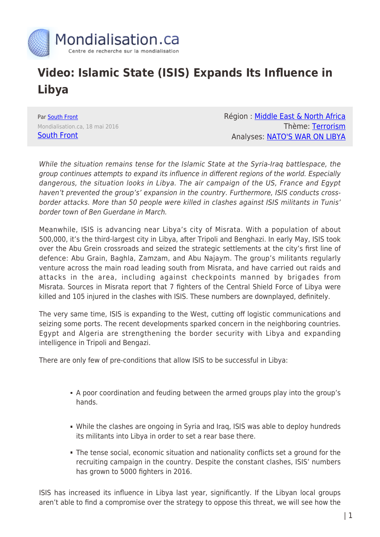

## **Video: Islamic State (ISIS) Expands Its Influence in Libya**

Par [South Front](https://www.mondialisation.ca/author/southfront) Mondialisation.ca, 18 mai 2016 [South Front](https://southfront.org/isis-expands-the-influence-in-libya/)

Région : [Middle East & North Africa](https://www.mondialisation.ca/region/middle-east) Thème: [Terrorism](https://www.mondialisation.ca/theme/9-11-war-on-terrorism) Analyses: [NATO'S WAR ON LIBYA](https://www.mondialisation.ca/indepthreport/nato-s-war-on-libya)

While the situation remains tense for the Islamic State at the Syria-Iraq battlespace, the group continues attempts to expand its influence in different regions of the world. Especially dangerous, the situation looks in Libya. The air campaign of the US, France and Egypt haven't prevented the group's' expansion in the country. Furthermore, ISIS conducts crossborder attacks. More than 50 people were killed in clashes against ISIS militants in Tunis' border town of Ben Guerdane in March.

Meanwhile, ISIS is advancing near Libya's city of Misrata. With a population of about 500,000, it's the third-largest city in Libya, after Tripoli and Benghazi. In early May, ISIS took over the Abu Grein crossroads and seized the strategic settlements at the city's first line of defence: Abu Grain, Baghla, Zamzam, and Abu Najaym. The group's militants regularly venture across the main road leading south from Misrata, and have carried out raids and attacks in the area, including against checkpoints manned by brigades from Misrata. Sources in Misrata report that 7 fighters of the Central Shield Force of Libya were killed and 105 injured in the clashes with ISIS. These numbers are downplayed, definitely.

The very same time, ISIS is expanding to the West, cutting off logistic communications and seizing some ports. The recent developments sparked concern in the neighboring countries. Egypt and Algeria are strengthening the border security with Libya and expanding intelligence in Tripoli and Bengazi.

There are only few of pre-conditions that allow ISIS to be successful in Libya:

- A poor coordination and feuding between the armed groups play into the group's hands.
- While the clashes are ongoing in Syria and Iraq, ISIS was able to deploy hundreds its militants into Libya in order to set a rear base there.
- The tense social, economic situation and nationality conflicts set a ground for the recruiting campaign in the country. Despite the constant clashes, ISIS' numbers has grown to 5000 fighters in 2016.

ISIS has increased its influence in Libya last year, significantly. If the Libyan local groups aren't able to find a compromise over the strategy to oppose this threat, we will see how the